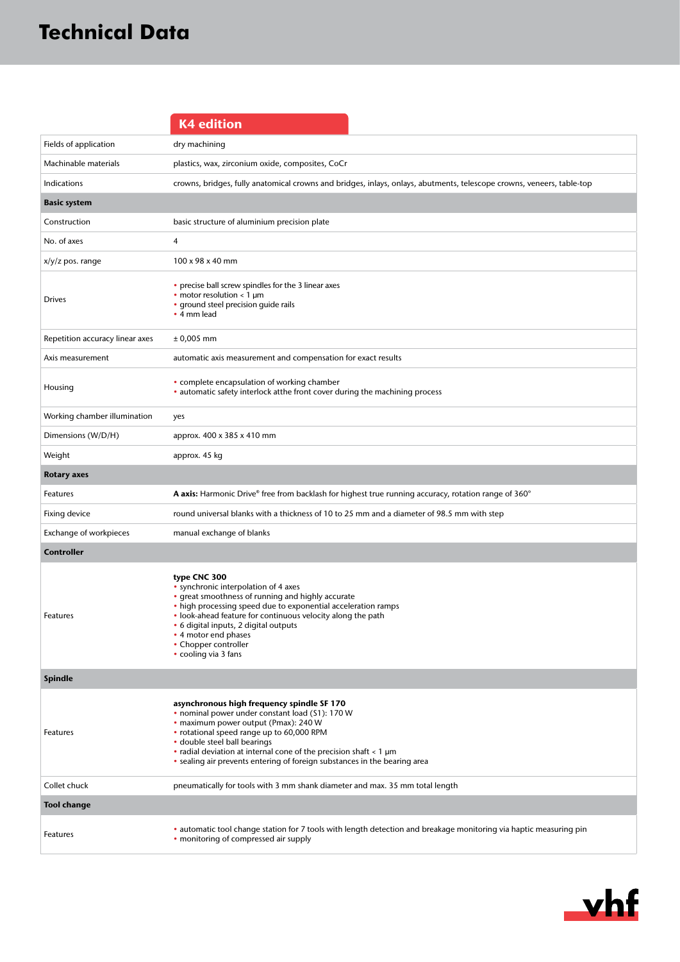|                                 | <b>K4 edition</b>                                                                                                                                                                                                                                                                                                                                                            |
|---------------------------------|------------------------------------------------------------------------------------------------------------------------------------------------------------------------------------------------------------------------------------------------------------------------------------------------------------------------------------------------------------------------------|
| Fields of application           | dry machining                                                                                                                                                                                                                                                                                                                                                                |
| Machinable materials            | plastics, wax, zirconium oxide, composites, CoCr                                                                                                                                                                                                                                                                                                                             |
| Indications                     | crowns, bridges, fully anatomical crowns and bridges, inlays, onlays, abutments, telescope crowns, veneers, table-top                                                                                                                                                                                                                                                        |
| <b>Basic system</b>             |                                                                                                                                                                                                                                                                                                                                                                              |
| Construction                    | basic structure of aluminium precision plate                                                                                                                                                                                                                                                                                                                                 |
| No. of axes                     | 4                                                                                                                                                                                                                                                                                                                                                                            |
| $x/y/z$ pos. range              | 100 x 98 x 40 mm                                                                                                                                                                                                                                                                                                                                                             |
| <b>Drives</b>                   | • precise ball screw spindles for the 3 linear axes<br>• motor resolution $\lt 1$ µm<br>• ground steel precision guide rails<br>• 4 mm lead                                                                                                                                                                                                                                  |
| Repetition accuracy linear axes | $± 0,005$ mm                                                                                                                                                                                                                                                                                                                                                                 |
| Axis measurement                | automatic axis measurement and compensation for exact results                                                                                                                                                                                                                                                                                                                |
| Housing                         | • complete encapsulation of working chamber<br>• automatic safety interlock at the front cover during the machining process                                                                                                                                                                                                                                                  |
| Working chamber illumination    | yes                                                                                                                                                                                                                                                                                                                                                                          |
| Dimensions (W/D/H)              | approx. 400 x 385 x 410 mm                                                                                                                                                                                                                                                                                                                                                   |
| Weight                          | approx. 45 kg                                                                                                                                                                                                                                                                                                                                                                |
| <b>Rotary axes</b>              |                                                                                                                                                                                                                                                                                                                                                                              |
| Features                        | A axis: Harmonic Drive® free from backlash for highest true running accuracy, rotation range of 360°                                                                                                                                                                                                                                                                         |
| Fixing device                   | round universal blanks with a thickness of 10 to 25 mm and a diameter of 98.5 mm with step                                                                                                                                                                                                                                                                                   |
| Exchange of workpieces          | manual exchange of blanks                                                                                                                                                                                                                                                                                                                                                    |
| <b>Controller</b>               |                                                                                                                                                                                                                                                                                                                                                                              |
| Features                        | type CNC 300<br>• synchronic interpolation of 4 axes<br>• great smoothness of running and highly accurate<br>• high processing speed due to exponential acceleration ramps<br>• look-ahead feature for continuous velocity along the path<br>• 6 digital inputs, 2 digital outputs<br>• 4 motor end phases<br>• Chopper controller<br>• cooling via 3 fans                   |
| <b>Spindle</b>                  |                                                                                                                                                                                                                                                                                                                                                                              |
| Features                        | asynchronous high frequency spindle SF 170<br>• nominal power under constant load (\$1): 170 W<br>• maximum power output (Pmax): 240 W<br>• rotational speed range up to 60,000 RPM<br>· double steel ball bearings<br>• radial deviation at internal cone of the precision shaft $<$ 1 $\mu$ m<br>• sealing air prevents entering of foreign substances in the bearing area |
| Collet chuck                    | pneumatically for tools with 3 mm shank diameter and max. 35 mm total length                                                                                                                                                                                                                                                                                                 |
| <b>Tool change</b>              |                                                                                                                                                                                                                                                                                                                                                                              |
| Features                        | • automatic tool change station for 7 tools with length detection and breakage monitoring via haptic measuring pin<br>• monitoring of compressed air supply                                                                                                                                                                                                                  |